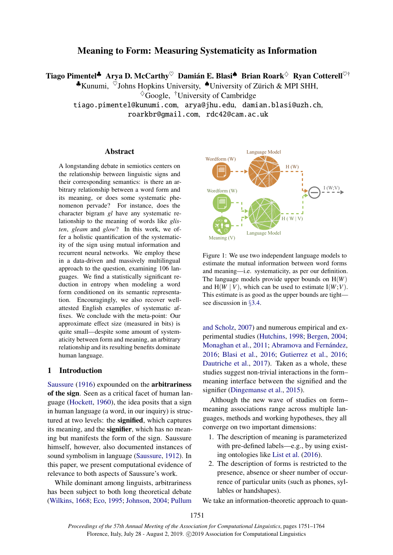# Meaning to Form: Measuring Systematicity as Information

Tiago Pimentel<sup>‡</sup> Arya D. McCarthy $^\heartsuit$  Damián E. Blasi $^\spadesuit$  Brian Roark $^\Diamond$  Ryan Cotterell $^\heartsuit^\dagger$ 

 $\triangle$ Kunumi,  $\check{\circ}$ Johns Hopkins University,  $\triangle$ University of Zürich & MPI SHH,

 $\sqrt[4]{\text{Google}}$ , <sup>†</sup>University of Cambridge

tiago.pimentel@kunumi.com, arya@jhu.edu, damian.blasi@uzh.ch,

roarkbr@gmail.com, rdc42@cam.ac.uk

# Abstract

A longstanding debate in semiotics centers on the relationship between linguistic signs and their corresponding semantics: is there an arbitrary relationship between a word form and its meaning, or does some systematic phenomenon pervade? For instance, does the character bigram *gl* have any systematic relationship to the meaning of words like *glisten*, *gleam* and *glow*? In this work, we offer a holistic quantification of the systematicity of the sign using mutual information and recurrent neural networks. We employ these in a data-driven and massively multilingual approach to the question, examining 106 languages. We find a statistically significant reduction in entropy when modeling a word form conditioned on its semantic representation. Encouragingly, we also recover wellattested English examples of systematic affixes. We conclude with the meta-point: Our approximate effect size (measured in bits) is quite small—despite some amount of systematicity between form and meaning, an arbitrary relationship and its resulting benefits dominate human language.

# 1 Introduction

[Saussure](#page-10-0) [\(1916\)](#page-10-0) expounded on the arbitrariness of the sign. Seen as a critical facet of human language [\(Hockett,](#page-9-0) [1960\)](#page-9-0), the idea posits that a sign in human language (a word, in our inquiry) is structured at two levels: the signified, which captures its meaning, and the **signifier**, which has no meaning but manifests the form of the sign. Saussure himself, however, also documented instances of sound symbolism in language [\(Saussure,](#page-10-1) [1912\)](#page-10-1). In this paper, we present computational evidence of relevance to both aspects of Saussure's work.

While dominant among linguists, arbitrariness has been subject to both long theoretical debate [\(Wilkins,](#page-10-2) [1668;](#page-10-2) [Eco,](#page-9-1) [1995;](#page-9-1) [Johnson,](#page-9-2) [2004;](#page-9-2) [Pullum](#page-10-3)

<span id="page-0-0"></span>

Figure 1: We use two independent language models to estimate the mutual information between word forms and meaning—i.e. systematicity, as per our definition. The language models provide upper bounds on H(*W*) and  $H(W | V)$ , which can be used to estimate  $I(W; V)$ . This estimate is as good as the upper bounds are tight see discussion in §[3.4.](#page-3-0)

[and Scholz,](#page-10-3) [2007\)](#page-10-3) and numerous empirical and experimental studies [\(Hutchins,](#page-9-3) [1998;](#page-9-3) [Bergen,](#page-8-0) [2004;](#page-8-0) [Monaghan et al.,](#page-10-4) [2011;](#page-10-4) Abramova and Fernández, [2016;](#page-8-1) [Blasi et al.,](#page-8-2) [2016;](#page-8-2) [Gutierrez et al.,](#page-9-4) [2016;](#page-9-4) [Dautriche et al.,](#page-9-5) [2017\)](#page-9-5). Taken as a whole, these studies suggest non-trivial interactions in the form– meaning interface between the signified and the signifier [\(Dingemanse et al.,](#page-9-6) [2015\)](#page-9-6).

Although the new wave of studies on form– meaning associations range across multiple languages, methods and working hypotheses, they all converge on two important dimensions:

- 1. The description of meaning is parameterized with pre-defined labels—e.g., by using existing ontologies like [List et al.](#page-9-7) [\(2016\)](#page-9-7).
- 2. The description of forms is restricted to the presence, absence or sheer number of occurrence of particular units (such as phones, syllables or handshapes).

We take an information-theoretic approach to quan-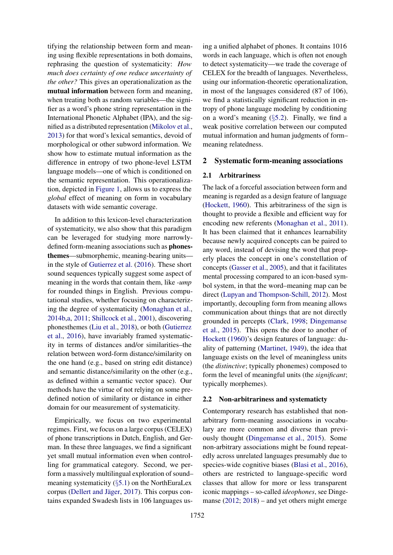tifying the relationship between form and meaning using flexible representations in both domains, rephrasing the question of systematicity: *How much does certainty of one reduce uncertainty of the other?* This gives an operationalization as the mutual information between form and meaning, when treating both as random variables—the signifier as a word's phone string representation in the International Phonetic Alphabet (IPA), and the signified as a distributed representation [\(Mikolov et al.,](#page-10-5) [2013\)](#page-10-5) for that word's lexical semantics, devoid of morphological or other subword information. We show how to estimate mutual information as the difference in entropy of two phone-level LSTM language models—one of which is conditioned on the semantic representation. This operationalization, depicted in [Figure 1,](#page-0-0) allows us to express the *global* effect of meaning on form in vocabulary datasets with wide semantic coverage.

In addition to this lexicon-level characterization of systematicity, we also show that this paradigm can be leveraged for studying more narrowlydefined form-meaning associations such as phonesthemes—submorphemic, meaning-bearing units in the style of [Gutierrez et al.](#page-9-4) [\(2016\)](#page-9-4). These short sound sequences typically suggest some aspect of meaning in the words that contain them, like *-ump* for rounded things in English. Previous computational studies, whether focusing on characterizing the degree of systematicity [\(Monaghan et al.,](#page-10-6) [2014b,](#page-10-6)[a,](#page-10-7) [2011;](#page-10-4) [Shillcock et al.,](#page-10-8) [2001\)](#page-10-8), discovering phonesthemes [\(Liu et al.,](#page-9-8) [2018\)](#page-9-8), or both [\(Gutierrez](#page-9-4) [et al.,](#page-9-4) [2016\)](#page-9-4), have invariably framed systematicity in terms of distances and/or similarities–the relation between word-form distance/similarity on the one hand (e.g., based on string edit distance) and semantic distance/similarity on the other (e.g., as defined within a semantic vector space). Our methods have the virtue of not relying on some predefined notion of similarity or distance in either domain for our measurement of systematicity.

Empirically, we focus on two experimental regimes. First, we focus on a large corpus (CELEX) of phone transcriptions in Dutch, English, and German. In these three languages, we find a significant yet small mutual information even when controlling for grammatical category. Second, we perform a massively multilingual exploration of sound– meaning systematicity (§[5.1\)](#page-5-0) on the NorthEuraLex corpus (Dellert and Jäger, [2017\)](#page-9-9). This corpus contains expanded Swadesh lists in 106 languages us-

ing a unified alphabet of phones. It contains 1016 words in each language, which is often not enough to detect systematicity—we trade the coverage of CELEX for the breadth of languages. Nevertheless, using our information-theoretic operationalization, in most of the languages considered (87 of 106), we find a statistically significant reduction in entropy of phone language modeling by conditioning on a word's meaning (§[5.2\)](#page-5-1). Finally, we find a weak positive correlation between our computed mutual information and human judgments of form– meaning relatedness.

#### 2 Systematic form-meaning associations

#### 2.1 Arbitrariness

The lack of a forceful association between form and meaning is regarded as a design feature of language [\(Hockett,](#page-9-0) [1960\)](#page-9-0). This arbitrariness of the sign is thought to provide a flexible and efficient way for encoding new referents [\(Monaghan et al.,](#page-10-4) [2011\)](#page-10-4). It has been claimed that it enhances learnability because newly acquired concepts can be paired to any word, instead of devising the word that properly places the concept in one's constellation of concepts [\(Gasser et al.,](#page-9-10) [2005\)](#page-9-10), and that it facilitates mental processing compared to an icon-based symbol system, in that the word–meaning map can be direct [\(Lupyan and Thompson-Schill,](#page-9-11) [2012\)](#page-9-11). Most importantly, decoupling form from meaning allows communication about things that are not directly grounded in percepts [\(Clark,](#page-9-12) [1998;](#page-9-12) [Dingemanse](#page-9-6) [et al.,](#page-9-6) [2015\)](#page-9-6). This opens the door to another of [Hockett](#page-9-0) [\(1960\)](#page-9-0)'s design features of language: duality of patterning [\(Martinet,](#page-9-13) [1949\)](#page-9-13), the idea that language exists on the level of meaningless units (the *distinctive*; typically phonemes) composed to form the level of meaningful units (the *significant*; typically morphemes).

## 2.2 Non-arbitrariness and systematicty

Contemporary research has established that nonarbitrary form-meaning associations in vocabulary are more common and diverse than previously thought [\(Dingemanse et al.,](#page-9-6) [2015\)](#page-9-6). Some non-arbitrary associations might be found repeatedly across unrelated languages presumably due to species-wide cognitive biases [\(Blasi et al.,](#page-8-2) [2016\)](#page-8-2), others are restricted to language-specific word classes that allow for more or less transparent iconic mappings – so-called *ideophones*, see Dinge-manse [\(2012;](#page-9-14) [2018\)](#page-9-15) – and yet others might emerge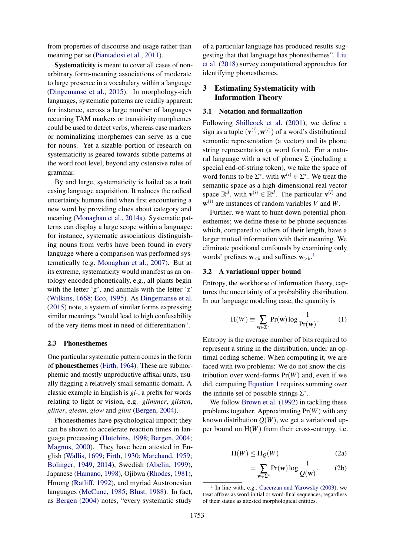from properties of discourse and usage rather than meaning per se [\(Piantadosi et al.,](#page-10-9) [2011\)](#page-10-9).

Systematicity is meant to cover all cases of nonarbitrary form-meaning associations of moderate to large presence in a vocabulary within a language [\(Dingemanse et al.,](#page-9-6) [2015\)](#page-9-6). In morphology-rich languages, systematic patterns are readily apparent: for instance, across a large number of languages recurring TAM markers or transitivity morphemes could be used to detect verbs, whereas case markers or nominalizing morphemes can serve as a cue for nouns. Yet a sizable portion of research on systematicity is geared towards subtle patterns at the word root level, beyond any ostensive rules of grammar.

By and large, systematicity is hailed as a trait easing language acquisition. It reduces the radical uncertainty humans find when first encountering a new word by providing clues about category and meaning [\(Monaghan et al.,](#page-10-7) [2014a\)](#page-10-7). Systematic patterns can display a large scope within a language: for instance, systematic associations distinguishing nouns from verbs have been found in every language where a comparison was performed systematically (e.g. [Monaghan et al.,](#page-10-10) [2007\)](#page-10-10). But at its extreme, systematicity would manifest as an ontology encoded phonetically, e.g., all plants begin with the letter 'g', and animals with the letter 'z' [\(Wilkins,](#page-10-2) [1668;](#page-10-2) [Eco,](#page-9-1) [1995\)](#page-9-1). As [Dingemanse et al.](#page-9-6) [\(2015\)](#page-9-6) note, a system of similar forms expressing similar meanings "would lead to high confusability of the very items most in need of differentiation".

#### 2.3 Phonesthemes

One particular systematic pattern comes in the form of phonesthemes [\(Firth,](#page-9-16) [1964\)](#page-9-16). These are submorphemic and mostly unproductive affixal units, usually flagging a relatively small semantic domain. A classic example in English is *gl-*, a prefix for words relating to light or vision, e.g. *glimmer*, *glisten*, *glitter*, *gleam*, *glow* and *glint* [\(Bergen,](#page-8-0) [2004\)](#page-8-0).

Phonesthemes have psychological import; they can be shown to accelerate reaction times in language processing [\(Hutchins,](#page-9-3) [1998;](#page-9-3) [Bergen,](#page-8-0) [2004;](#page-8-0) [Magnus,](#page-9-17) [2000\)](#page-9-17). They have been attested in English [\(Wallis,](#page-10-11) [1699;](#page-10-11) [Firth,](#page-9-18) [1930;](#page-9-18) [Marchand,](#page-9-19) [1959;](#page-9-19) [Bolinger,](#page-9-20) [1949,](#page-9-20) [2014\)](#page-9-21), Swedish [\(Abelin,](#page-8-3) [1999\)](#page-8-3), Japanese [\(Hamano,](#page-9-22) [1998\)](#page-9-22), Ojibwa [\(Rhodes,](#page-10-12) [1981\)](#page-10-12), Hmong [\(Ratliff,](#page-10-13) [1992\)](#page-10-13), and myriad Austronesian languages [\(McCune,](#page-9-23) [1985;](#page-9-23) [Blust,](#page-8-4) [1988\)](#page-8-4). In fact, as [Bergen](#page-8-0) [\(2004\)](#page-8-0) notes, "every systematic study of a particular language has produced results suggesting that that language has phonesthemes". [Liu](#page-9-8) [et al.](#page-9-8) [\(2018\)](#page-9-8) survey computational approaches for identifying phonesthemes.

# 3 Estimating Systematicity with Information Theory

# 3.1 Notation and formalization

Following [Shillcock et al.](#page-10-8) [\(2001\)](#page-10-8), we define a sign as a tuple  $(\mathbf{v}^{(i)}, \mathbf{w}^{(i)})$  of a word's distributional semantic representation (a vector) and its phone string representation (a word form). For a natural language with a set of phones  $\Sigma$  (including a special end-of-string token), we take the space of word forms to be  $\Sigma^*$ , with  $\mathbf{w}^{(i)} \in \Sigma^*$ . We treat the semantic space as a high-dimensional real vector space  $\mathbb{R}^d$ , with  $\mathbf{v}^{(i)} \in \mathbb{R}^d$ . The particular  $\mathbf{v}^{(i)}$  and w (*i*) are instances of random variables *V* and *W*.

Further, we want to hunt down potential phonesthemes; we define these to be phone sequences which, compared to others of their length, have a larger mutual information with their meaning. We eliminate positional confounds by examining only words' prefixes  $\mathbf{w}_{< k}$  and suffixes  $\mathbf{w}_{> k}$ .<sup>[1](#page-2-0)</sup>

## 3.2 A variational upper bound

Entropy, the workhorse of information theory, captures the uncertainty of a probability distribution. In our language modeling case, the quantity is

<span id="page-2-1"></span>
$$
H(W) \equiv \sum_{\mathbf{w} \in \Sigma^*} Pr(\mathbf{w}) \log \frac{1}{Pr(\mathbf{w})}.
$$
 (1)

Entropy is the average number of bits required to represent a string in the distribution, under an optimal coding scheme. When computing it, we are faced with two problems: We do not know the distribution over word-forms  $Pr(W)$  and, even if we did, computing [Equation 1](#page-2-1) requires summing over the infinite set of possible strings  $\Sigma^*$ .

We follow [Brown et al.](#page-9-24) [\(1992\)](#page-9-24) in tackling these problems together. Approximating Pr(*W*) with any known distribution  $Q(W)$ , we get a variational upper bound on  $H(W)$  from their cross-entropy, i.e.

$$
H(W) \leq H_Q(W)
$$
 (2a)

<span id="page-2-2"></span>
$$
= \sum_{\mathbf{w}\in\Sigma^*} \Pr(\mathbf{w}) \log \frac{1}{Q(\mathbf{w})}. \tag{2b}
$$

<span id="page-2-0"></span><sup>&</sup>lt;sup>1</sup> In line with, e.g., [Cucerzan and Yarowsky](#page-9-25) [\(2003\)](#page-9-25), we treat affixes as word-initial or word-final sequences, regardless of their status as attested morphological entities.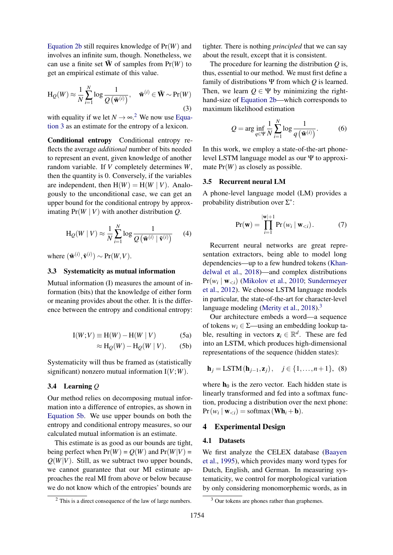[Equation 2b](#page-2-2) still requires knowledge of Pr(*W*) and involves an infinite sum, though. Nonetheless, we can use a finite set  $\tilde{W}$  of samples from  $Pr(W)$  to get an empirical estimate of this value.

$$
H_Q(W) \approx \frac{1}{N} \sum_{i=1}^{N} \log \frac{1}{Q(\tilde{\mathbf{w}}^{(i)})}, \quad \tilde{\mathbf{w}}^{(i)} \in \tilde{\mathbf{W}} \sim \text{Pr}(W)
$$
\n(3)

with equality if we let  $N \rightarrow \infty$ <sup>[2](#page-3-1)</sup>. We now use [Equa](#page-3-2)[tion 3](#page-3-2) as an estimate for the entropy of a lexicon.

Conditional entropy Conditional entropy reflects the average *additional* number of bits needed to represent an event, given knowledge of another random variable. If *V* completely determines *W*, then the quantity is 0. Conversely, if the variables are independent, then  $H(W) = H(W | V)$ . Analogously to the unconditional case, we can get an upper bound for the conditional entropy by approximating  $Pr(W | V)$  with another distribution *Q*.

$$
H_Q(W | V) \approx \frac{1}{N} \sum_{i=1}^{N} \log \frac{1}{Q(\tilde{\mathbf{w}}^{(i)} | \tilde{\mathbf{v}}^{(i)})}
$$
(4)

where  $(\tilde{\mathbf{w}}^{(i)}, \tilde{\mathbf{v}}^{(i)}) \sim \text{Pr}(W, V)$ .

# 3.3 Systematicity as mutual information

Mutual information (I) measures the amount of information (bits) that the knowledge of either form or meaning provides about the other. It is the difference between the entropy and conditional entropy:

$$
I(W;V) \equiv H(W) - H(W | V)
$$
 (5a)

$$
\approx \mathrm{H}_{Q}(W) - \mathrm{H}_{Q}(W \mid V). \tag{5b}
$$

Systematicity will thus be framed as (statistically significant) nonzero mutual information  $I(V;W)$ .

# <span id="page-3-0"></span>3.4 Learning *Q*

Our method relies on decomposing mutual information into a difference of entropies, as shown in [Equation 5b.](#page-3-3) We use upper bounds on both the entropy and conditional entropy measures, so our calculated mutual information is an estimate.

This estimate is as good as our bounds are tight, being perfect when  $Pr(W) = Q(W)$  and  $Pr(W|V) =$  $Q(W|V)$ . Still, as we subtract two upper bounds, we cannot guarantee that our MI estimate approaches the real MI from above or below because we do not know which of the entropies' bounds are

tighter. There is nothing *principled* that we can say about the result, except that it is consistent.

<span id="page-3-2"></span>The procedure for learning the distribution *Q* is, thus, essential to our method. We must first define a family of distributions Ψ from which *Q* is learned. Then, we learn  $Q \in \Psi$  by minimizing the righthand-size of [Equation 2b—](#page-2-2)which corresponds to maximum likelihood estimation

$$
Q = \arg\inf_{q \in \Psi} \frac{1}{N} \sum_{i=1}^{N} \log \frac{1}{q(\tilde{\mathbf{w}}^{(i)})}.
$$
 (6)

In this work, we employ a state-of-the-art phonelevel LSTM language model as our Ψ to approximate Pr(*W*) as closely as possible.

#### 3.5 Recurrent neural LM

A phone-level language model (LM) provides a probability distribution over  $\Sigma^*$ :

$$
Pr(\mathbf{w}) = \prod_{i=1}^{|\mathbf{w}|+1} Pr(w_i | \mathbf{w}_{< i}). \tag{7}
$$

Recurrent neural networks are great representation extractors, being able to model long dependencies—up to a few hundred tokens [\(Khan](#page-9-26)[delwal et al.,](#page-9-26) [2018\)](#page-9-26)—and complex distributions  $Pr(w_i | w_{\leq i})$  [\(Mikolov et al.,](#page-10-14) [2010;](#page-10-14) [Sundermeyer](#page-10-15) [et al.,](#page-10-15) [2012\)](#page-10-15). We choose LSTM language models in particular, the state-of-the-art for character-level language modeling [\(Merity et al.,](#page-10-16) [2018\)](#page-10-16).<sup>[3](#page-3-4)</sup>

<span id="page-3-5"></span><span id="page-3-3"></span>Our architecture embeds a word—a sequence of tokens  $w_i \in \Sigma$ —using an embedding lookup table, resulting in vectors  $z_i \in \mathbb{R}^d$ . These are fed into an LSTM, which produces high-dimensional representations of the sequence (hidden states):

$$
\mathbf{h}_{j} = \text{LSTM}(\mathbf{h}_{j-1}, \mathbf{z}_{j}), \quad j \in \{1, \dots, n+1\}, \tag{8}
$$

where  $h_0$  is the zero vector. Each hidden state is linearly transformed and fed into a softmax function, producing a distribution over the next phone:  $Pr(w_i | w_{\leq i}) = softmax(\mathbf{Wh}_i + \mathbf{b}).$ 

# 4 Experimental Design

#### 4.1 Datasets

We first analyze the CELEX database [\(Baayen](#page-8-5) [et al.,](#page-8-5) [1995\)](#page-8-5), which provides many word types for Dutch, English, and German. In measuring systematicity, we control for morphological variation by only considering monomorphemic words, as in

<span id="page-3-1"></span><sup>2</sup> This is a direct consequence of the law of large numbers.

<span id="page-3-4"></span><sup>&</sup>lt;sup>3</sup> Our tokens are phones rather than graphemes.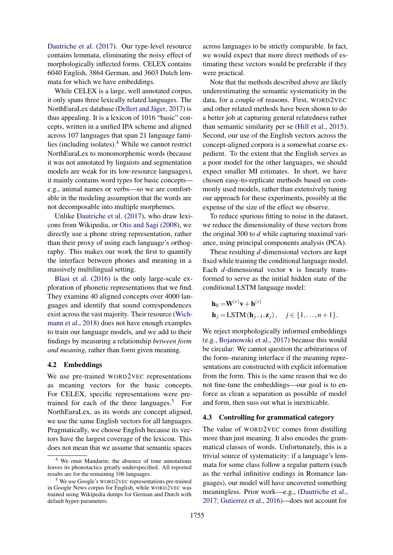[Dautriche et al.](#page-9-5) [\(2017\)](#page-9-5). Our type-level resource contains lemmata, eliminating the noisy effect of morphologically inflected forms. CELEX contains 6040 English, 3864 German, and 3603 Dutch lemmata for which we have embeddings.

While CELEX is a large, well annotated corpus, it only spans three lexically related languages. The NorthEuraLex database (Dellert and Jäger, [2017\)](#page-9-9) is thus appealing. It is a lexicon of 1016 "basic" concepts, written in a unified IPA scheme and aligned across 107 languages that span 21 language families (including isolates). $4$  While we cannot restrict NorthEuraLex to monomorphemic words (because it was not annotated by linguists and segmentation models are weak for its low-resource languages), it mainly contains word types for basic concepts e.g., animal names or verbs—so we are comfortable in the modeling assumption that the words are not decomposable into multiple morphemes.

Unlike [Dautriche et al.](#page-9-5) [\(2017\)](#page-9-5), who draw lexicons from Wikipedia, or [Otis and Sagi](#page-10-17) [\(2008\)](#page-10-17), we directly use a phone string representation, rather than their proxy of using each language's orthography. This makes our work the first to quantify the interface between phones and meaning in a massively multilingual setting.

[Blasi et al.](#page-8-2) [\(2016\)](#page-8-2) is the only large-scale exploration of phonetic representations that we find. They examine 40 aligned concepts over 4000 languages and identify that sound correspondences exist across the vast majority. Their resource [\(Wich](#page-10-18)[mann et al.,](#page-10-18) [2018\)](#page-10-18) does not have enough examples to train our language models, and we add to their findings by measuring a relationship *between form and meaning*, rather than form given meaning.

#### 4.2 Embeddings

We use pre-trained WORD2VEC representations as meaning vectors for the basic concepts. For CELEX, specific representations were pre-trained for each of the three languages.<sup>[5](#page-4-1)</sup> For NorthEuraLex, as its words are concept aligned, we use the same English vectors for all languages. Pragmatically, we choose English because its vectors have the largest coverage of the lexicon. This does not mean that we assume that semantic spaces

across languages to be strictly comparable. In fact, we would expect that more direct methods of estimating these vectors would be preferable if they were practical.

Note that the methods described above are likely underestimating the semantic systematicity in the data, for a couple of reasons. First, WORD2VEC and other related methods have been shown to do a better job at capturing general relatedness rather than semantic similarity per se [\(Hill et al.,](#page-9-27) [2015\)](#page-9-27). Second, our use of the English vectors across the concept-aligned corpora is a somewhat coarse expedient. To the extent that the English serves as a poor model for the other languages, we should expect smaller MI estimates. In short, we have chosen easy-to-replicate methods based on commonly used models, rather than extensively tuning our approach for these experiments, possibly at the expense of the size of the effect we observe.

To reduce spurious fitting to noise in the dataset, we reduce the dimensionality of these vectors from the original 300 to *d* while capturing maximal variance, using principal components analysis (PCA).

These resulting *d*-dimensional vectors are kept fixed while training the conditional language model. Each *d*-dimensional vector **v** is linearly transformed to serve as the initial hidden state of the conditional LSTM language model:

$$
\mathbf{h}_0 = \mathbf{W}^{(\nu)} \mathbf{v} + \mathbf{b}^{(\nu)}
$$
  
\n
$$
\mathbf{h}_j = \text{LSTM}(\mathbf{h}_{j-1}, \mathbf{z}_j), \quad j \in \{1, \dots, n+1\}.
$$

We reject morphologically informed embeddings (e.g., [Bojanowski et al.,](#page-8-6) [2017\)](#page-8-6) because this would be circular: We cannot question the arbitrariness of the form–meaning interface if the meaning representations are constructed with explicit information from the form. This is the same reason that we do not fine-tune the embeddings—our goal is to enforce as clean a separation as possible of model and form, then suss out what is inextricable.

#### 4.3 Controlling for grammatical category

The value of WORD2VEC comes from distilling more than just meaning. It also encodes the grammatical classes of words. Unfortunately, this is a trivial source of systematicity: if a language's lemmata for some class follow a regular pattern (such as the verbal infinitive endings in Romance languages), our model will have uncovered something meaningless. Prior work—e.g., [\(Dautriche et al.,](#page-9-5) [2017;](#page-9-5) [Gutierrez et al.,](#page-9-4) [2016\)](#page-9-4)—does not account for

<span id="page-4-0"></span><sup>4</sup> We omit Mandarin; the absence of tone annotations leaves its phonotactics greatly underspecified. All reported results are for the remaining 106 languages.

<span id="page-4-1"></span><sup>5</sup> We use Google's WORD2VEC representations pre-trained in Google News corpus for English, while WORD2VEC was trained using Wikipedia dumps for German and Dutch with default hyper-parameters.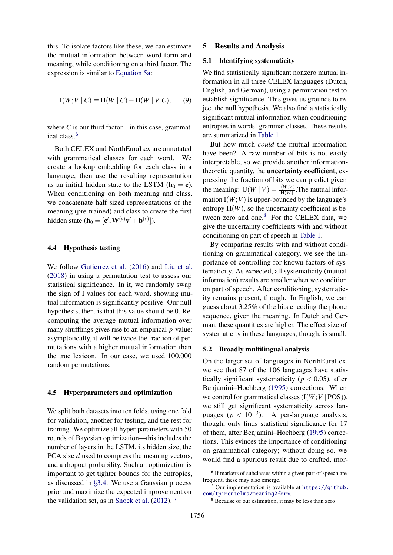this. To isolate factors like these, we can estimate the mutual information between word form and meaning, while conditioning on a third factor. The expression is similar to [Equation 5a:](#page-3-5)

$$
I(W;V | C) \equiv H(W | C) - H(W | V, C), \qquad (9)
$$

where  $C$  is our third factor—in this case, grammatical class.[6](#page-5-2)

Both CELEX and NorthEuraLex are annotated with grammatical classes for each word. We create a lookup embedding for each class in a language, then use the resulting representation as an initial hidden state to the LSTM ( $\mathbf{h}_0 = \mathbf{c}$ ). When conditioning on both meaning and class, we concatenate half-sized representations of the meaning (pre-trained) and class to create the first hidden state ( $\mathbf{h}_0 = [\mathbf{c}'; \mathbf{W}^{(\nu)} \mathbf{v}' + \mathbf{b}^{(\nu)}]$ ).

## 4.4 Hypothesis testing

We follow [Gutierrez et al.](#page-9-4) [\(2016\)](#page-9-4) and [Liu et al.](#page-9-8) [\(2018\)](#page-9-8) in using a permutation test to assess our statistical significance. In it, we randomly swap the sign of I values for each word, showing mutual information is significantly positive. Our null hypothesis, then, is that this value should be 0. Recomputing the average mutual information over many shufflings gives rise to an empirical *p*-value: asymptotically, it will be twice the fraction of permutations with a higher mutual information than the true lexicon. In our case, we used 100,000 random permutations.

## 4.5 Hyperparameters and optimization

We split both datasets into ten folds, using one fold for validation, another for testing, and the rest for training. We optimize all hyper-parameters with 50 rounds of Bayesian optimization—this includes the number of layers in the LSTM, its hidden size, the PCA size *d* used to compress the meaning vectors, and a dropout probability. Such an optimization is important to get tighter bounds for the entropies, as discussed in §[3.4.](#page-3-0) We use a Gaussian process prior and maximize the expected improvement on the validation set, as in [Snoek et al.](#page-10-19) [\(2012\)](#page-10-19). [7](#page-5-3)

## 5 Results and Analysis

# <span id="page-5-0"></span>5.1 Identifying systematicity

We find statistically significant nonzero mutual information in all three CELEX languages (Dutch, English, and German), using a permutation test to establish significance. This gives us grounds to reject the null hypothesis. We also find a statistically significant mutual information when conditioning entropies in words' grammar classes. These results are summarized in [Table 1.](#page-6-0)

But how much *could* the mutual information have been? A raw number of bits is not easily interpretable, so we provide another informationtheoretic quantity, the uncertainty coefficient, expressing the fraction of bits we can predict given the meaning:  $U(W | V) = \frac{I(W; V)}{H(W)}$ . The mutual information  $I(W;V)$  is upper-bounded by the language's entropy  $H(W)$ , so the uncertainty coefficient is between zero and one. $8$  For the CELEX data, we give the uncertainty coefficients with and without conditioning on part of speech in [Table 1.](#page-6-0)

By comparing results with and without conditioning on grammatical category, we see the importance of controlling for known factors of systematicity. As expected, all systematicity (mutual information) results are smaller when we condition on part of speech. After conditioning, systematicity remains present, though. In English, we can guess about 3.25% of the bits encoding the phone sequence, given the meaning. In Dutch and German, these quantities are higher. The effect size of systematicity in these languages, though, is small.

### <span id="page-5-1"></span>5.2 Broadly multilingual analysis

On the larger set of languages in NorthEuraLex, we see that 87 of the 106 languages have statistically significant systematicity ( $p < 0.05$ ), after Benjamini–Hochberg [\(1995\)](#page-8-7) corrections. When we control for grammatical classes  $(I(W;V | POS))$ , we still get significant systematicity across languages ( $p < 10^{-3}$ ). A per-language analysis, though, only finds statistical significance for 17 of them, after Benjamini–Hochberg [\(1995\)](#page-8-7) corrections. This evinces the importance of conditioning on grammatical category; without doing so, we would find a spurious result due to crafted, mor-

<span id="page-5-2"></span><sup>&</sup>lt;sup>6</sup> If markers of subclasses within a given part of speech are frequent, these may also emerge.

<span id="page-5-3"></span>Our implementation is available at [https://github.](https://github.com/tpimentelms/meaning2form) [com/tpimentelms/meaning2form](https://github.com/tpimentelms/meaning2form).

<span id="page-5-4"></span><sup>8</sup> Because of our estimation, it may be less than zero.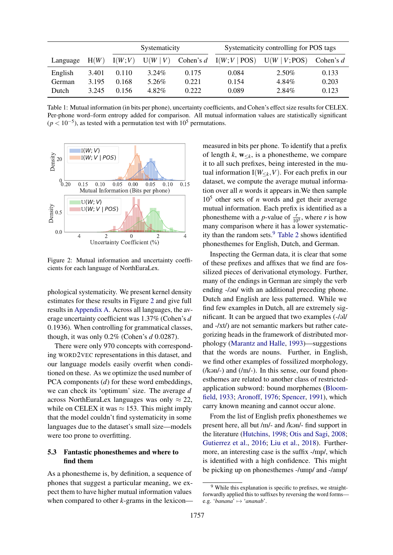<span id="page-6-0"></span>

|          |       | Systematicity |          |             | Systematicity controlling for POS tags |               |             |
|----------|-------|---------------|----------|-------------|----------------------------------------|---------------|-------------|
| Language | H(W)  | I(W;V)        | U(W   V) | Cohen's $d$ | I(W;V   POS)                           | U(W   V; POS) | Cohen's $d$ |
| English  | 3.401 | 0.110         | $3.24\%$ | 0.175       | 0.084                                  | $2.50\%$      | 0.133       |
| German   | 3.195 | 0.168         | $5.26\%$ | 0.221       | 0.154                                  | $4.84\%$      | 0.203       |
| Dutch    | 3.245 | 0.156         | 4.82%    | 0.222       | 0.089                                  | 2.84%         | 0.123       |

Table 1: Mutual information (in bits per phone), uncertainty coefficients, and Cohen's effect size results for CELEX. Per-phone word–form entropy added for comparison. All mutual information values are statistically significant  $(p < 10^{-5})$ , as tested with a permutation test with 10<sup>5</sup> permutations.

<span id="page-6-1"></span>

Figure 2: Mutual information and uncertainty coefficients for each language of NorthEuraLex.

phological systematicity. We present kernel density estimates for these results in Figure [2](#page-6-1) and give full results in [Appendix A.](#page-11-0) Across all languages, the average uncertainty coefficient was 1.37% (Cohen's *d* 0.1936). When controlling for grammatical classes, though, it was only 0.2% (Cohen's *d* 0.0287).

There were only 970 concepts with corresponding WORD2VEC representations in this dataset, and our language models easily overfit when conditioned on these. As we optimize the used number of PCA components (*d*) for these word embeddings, we can check its 'optimum' size. The average *d* across NorthEuraLex languages was only  $\approx 22$ , while on CELEX it was  $\approx 153$ . This might imply that the model couldn't find systematicity in some languages due to the dataset's small size—models were too prone to overfitting.

# 5.3 Fantastic phonesthemes and where to find them

As a phonestheme is, by definition, a sequence of phones that suggest a particular meaning, we expect them to have higher mutual information values when compared to other *k*-grams in the lexiconmeasured in bits per phone. To identify that a prefix of length  $k$ ,  $w_{\leq k}$ , is a phonestheme, we compare it to all such prefixes, being interested in the mutual information  $I(W_{\leq k}, V)$ . For each prefix in our dataset, we compute the average mutual information over all *n* words it appears in.We then sample  $10<sup>5</sup>$  other sets of *n* words and get their average mutual information. Each prefix is identified as a phones theme with a *p*-value of  $\frac{r}{10^5}$ , where *r* is how many comparison where it has a lower systematicity than the random sets. $9$  [Table 2](#page-7-0) shows identified phonesthemes for English, Dutch, and German.

Inspecting the German data, it is clear that some of these prefixes and affixes that we find are fossilized pieces of derivational etymology. Further, many of the endings in German are simply the verb ending -/ən/ with an additional preceding phone. Dutch and English are less patterned. While we find few examples in Dutch, all are extremely significant. It can be argued that two examples  $(-/d)$ and -/xt/) are not semantic markers but rather categorizing heads in the framework of distributed morphology [\(Marantz and Halle,](#page-9-28) [1993\)](#page-9-28)—suggestions that the words are nouns. Further, in English, we find other examples of fossilized morphology,  $(kom)$  and  $(lm)$ . In this sense, our found phonesthemes are related to another class of restrictedapplication subword: bound morphemes [\(Bloom](#page-8-8)[field,](#page-8-8) [1933;](#page-8-8) [Aronoff,](#page-8-9) [1976;](#page-8-9) [Spencer,](#page-10-20) [1991\)](#page-10-20), which carry known meaning and cannot occur alone.

From the list of English prefix phonesthemes we present here, all but /m/- and /kən/- find support in the literature [\(Hutchins,](#page-9-3) [1998;](#page-9-3) [Otis and Sagi,](#page-10-17) [2008;](#page-10-17) [Gutierrez et al.,](#page-9-4) [2016;](#page-9-4) [Liu et al.,](#page-9-8) [2018\)](#page-9-8). Furthermore, an interesting case is the suffix -/mp/, which is identified with a high confidence. This might be picking up on phonesthemes -/ump/ and -/amp/

<span id="page-6-2"></span><sup>&</sup>lt;sup>9</sup> While this explanation is specific to prefixes, we straightforwardly applied this to suffixes by reversing the word forms e.g. '*banana*' 7→ '*ananab*'.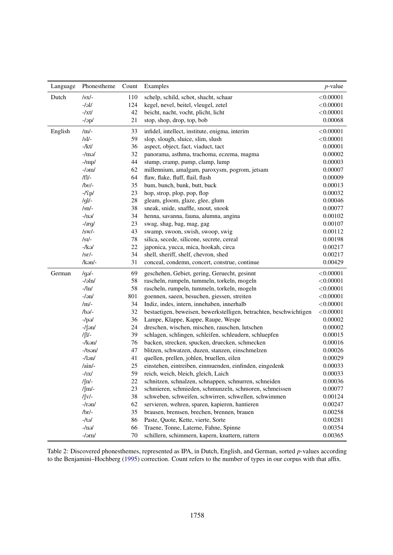<span id="page-7-0"></span>

| Language | Phonestheme           | Count | Examples                                                           | $p$ -value |
|----------|-----------------------|-------|--------------------------------------------------------------------|------------|
| Dutch    | $/sx$ /-              | 110   | schelp, schild, schot, shacht, schaar                              | < 0.00001  |
|          | $-/-1$                | 124   | kegel, nevel, beitel, vleugel, zetel                               | < 0.00001  |
|          | $-\frac{1}{x}$        | 42    | beicht, nacht, vocht, plicht, licht                                | < 0.00001  |
|          | $-l$ op/              | 21    | stop, shop, drop, top, bob                                         | 0.00068    |
| English  | $/$ m $/$ -           | 33    | infidel, intellect, institute, enigma, interim                     | < 0.00001  |
|          | $/sl$ -               | 59    | slop, slough, sluice, slim, slush                                  | < 0.00001  |
|          | $-$ /kt/              | 36    | aspect, object, fact, viaduct, tact                                | 0.00001    |
|          | $-$ /mə/              | 32    | panorama, asthma, trachoma, eczema, magma                          | 0.00002    |
|          | $-\frac{\mu}{2}$      | 44    | stump, cramp, pump, clamp, lump                                    | 0.00003    |
|          | $-\sqrt{am}/$         | 62    | millennium, amalgam, paroxysm, pogrom, jetsam                      | 0.00007    |
|          | $/f$ ]/-              | 64    | flaw, flake, fluff, flail, flash                                   | 0.00009    |
|          | $/bv$ -               | 35    | bum, bunch, bunk, butt, buck                                       | 0.00013    |
|          | $-\frac{\Gamma}{2}$   | 23    | hop, strop, plop, pop, flop                                        | 0.00032    |
|          | $/gl$ -               | 28    | gleam, gloom, glaze, glee, glum                                    | 0.00046    |
|          | $\sqrt{\text{sn}}$    | 38    | sneak, snide, snaffle, snout, snook                                | 0.00077    |
|          | $-ln$                 | 34    | henna, savanna, fauna, alumna, angina                              | 0.00102    |
|          | $-\frac{\pi q}{2}$    | 23    | swag, shag, bag, mag, gag                                          | 0.00107    |
|          | $/sw$ /-              | 43    | swamp, swoon, swish, swoop, swig                                   | 0.00112    |
|          | $/sI/-$               | 78    | silica, secede, silicone, secrete, cereal                          | 0.00198    |
|          | $-$ /kə/              | 22    | japonica, yucca, mica, hookah, circa                               | 0.00217    |
|          | $\sqrt{\text{se}}$ /- | 34    | shell, sheriff, shelf, chevron, shed                               | 0.00217    |
|          | /kən/-                | 31    | conceal, condemn, concert, construe, continue                      | 0.00429    |
| German   | $q_{\Theta}$          | 69    | geschehen, Gebiet, gering, Geruecht, gesinnt                       | < 0.00001  |
|          | $-\frac{\sin}{\sin}$  | 58    | rascheln, rumpeln, tummeln, torkeln, mogeln                        | < 0.00001  |
|          | $-/\mathrm{ln}/$      | 58    | rascheln, rumpeln, tummeln, torkeln, mogeln                        | < 0.00001  |
|          | $-/-$                 | 801   | goennen, saeen, besuchen, giessen, streiten                        | < 0.00001  |
|          | $/$ m $/$ -           | 34    | Indiz, indes, intern, innehaben, innerhalb                         | < 0.00001  |
|          | -\bə/-                | 32    | bestaetigen, beweisen, bewerkstelligen, betrachten, beschwichtigen | < 0.00001  |
|          | $-$ /pə/              | 36    | Lampe, Klappe, Kappe, Raupe, Wespe                                 | 0.00002    |
|          | $-1$ fən $/$          | 24    | dreschen, wischen, mischen, rauschen, lutschen                     | 0.00002    |
|          | /ʃl/-                 | 39    | schlagen, schlingen, schleifen, schleudern, schluepfen             | 0.00015    |
|          | $-\frac{\pi}{2}$      | 76    | backen, strecken, spucken, druecken, schmecken                     | 0.00016    |
|          | $-$ /tsən/            | 47    | blitzen, schwatzen, duzen, stanzen, einschmelzen                   | 0.00026    |
|          | $-$ /lən/             | 41    | quellen, prellen, johlen, bruellen, eilen                          | 0.00029    |
|          | $/ain/$ -             | 25    | einstehen, eintreiben, einmuenden, einfinden, eingedenk            | 0.00033    |
|          | $-\sqrt{IX}$          | 59    | reich, weich, bleich, gleich, Laich                                | 0.00033    |
|          | $/$ $\int$ n $/$ -    | 22    | schnitzen, schnalzen, schnappen, schnurren, schneiden              | 0.00036    |
|          | $/\text{fm}/$         | 23    | schmieren, schmieden, schmunzeln, schmoren, schmeissen             | 0.00077    |
|          | $/$ $\int$ V $/$ -    | 38    | schweben, schweifen, schwirren, schwellen, schwimmen               | 0.00124    |
|          | $-Iran/$              | 62    | servieren, wehren, sparen, kapieren, hantieren                     | 0.00247    |
|          | $/br/-$               | 35    | brausen, bremsen, brechen, brennen, brauen                         | 0.00258    |
|          | $-/t0$ /              | 86    | Paste, Quote, Kette, vierte, Sorte                                 | 0.00281    |
|          | $-ln$ ə/              | 66    | Traene, Tonne, Laterne, Fahne, Spinne                              | 0.00354    |
|          | $-\sqrt{arn}$         | 70    | schillern, schimmern, kapern, knattern, rattern                    | 0.00365    |

Table 2: Discovered phonesthemes, represented as IPA, in Dutch, English, and German, sorted *p*-values according to the Benjamini–Hochberg [\(1995\)](#page-8-7) correction. Count refers to the number of types in our corpus with that affix.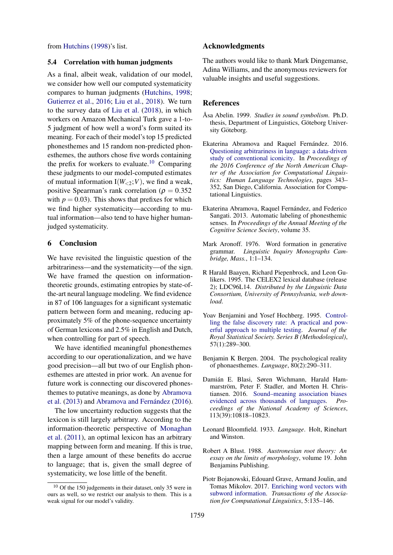from [Hutchins](#page-9-3) [\(1998\)](#page-9-3)'s list.

#### 5.4 Correlation with human judgments

As a final, albeit weak, validation of our model, we consider how well our computed systematicity compares to human judgments [\(Hutchins,](#page-9-3) [1998;](#page-9-3) [Gutierrez et al.,](#page-9-4) [2016;](#page-9-4) [Liu et al.,](#page-9-8) [2018\)](#page-9-8). We turn to the survey data of [Liu et al.](#page-9-8) [\(2018\)](#page-9-8), in which workers on Amazon Mechanical Turk gave a 1-to-5 judgment of how well a word's form suited its meaning. For each of their model's top 15 predicted phonesthemes and 15 random non-predicted phonesthemes, the authors chose five words containing the prefix for workers to evaluate.<sup>[10](#page-8-10)</sup> Comparing these judgments to our model-computed estimates of mutual information  $I(W_{<2};V)$ , we find a weak, positive Spearman's rank correlation ( $\rho = 0.352$ ) with  $p = 0.03$ ). This shows that prefixes for which we find higher systematicity—according to mutual information—also tend to have higher humanjudged systematicity.

# 6 Conclusion

We have revisited the linguistic question of the arbitrariness—and the systematicity—of the sign. We have framed the question on informationtheoretic grounds, estimating entropies by state-ofthe-art neural language modeling. We find evidence in 87 of 106 languages for a significant systematic pattern between form and meaning, reducing approximately 5% of the phone-sequence uncertainty of German lexicons and 2.5% in English and Dutch, when controlling for part of speech.

We have identified meaningful phonesthemes according to our operationalization, and we have good precision—all but two of our English phonesthemes are attested in prior work. An avenue for future work is connecting our discovered phonesthemes to putative meanings, as done by [Abramova](#page-8-11) [et al.](#page-8-11)  $(2013)$  and Abramova and Fernández  $(2016)$ .

The low uncertainty reduction suggests that the lexicon is still largely arbitrary. According to the information-theoretic perspective of [Monaghan](#page-10-4) [et al.](#page-10-4) [\(2011\)](#page-10-4), an optimal lexicon has an arbitrary mapping between form and meaning. If this is true, then a large amount of these benefits do accrue to language; that is, given the small degree of systematicity, we lose little of the benefit.

# Acknowledgments

The authors would like to thank Mark Dingemanse, Adina Williams, and the anonymous reviewers for valuable insights and useful suggestions.

# References

- <span id="page-8-3"></span>Åsa Abelin. 1999. Studies in sound symbolism. Ph.D. thesis, Department of Linguistics, Göteborg University Göteborg.
- <span id="page-8-1"></span>Ekaterina Abramova and Raquel Fernández. 2016. [Questioning arbitrariness in language: a data-driven](http://www.aclweb.org/anthology/N16-1038) [study of conventional iconicity.](http://www.aclweb.org/anthology/N16-1038) In *Proceedings of the 2016 Conference of the North American Chapter of the Association for Computational Linguistics: Human Language Technologies*, pages 343– 352, San Diego, California. Association for Computational Linguistics.
- <span id="page-8-11"></span>Ekaterina Abramova, Raquel Fernández, and Federico Sangati. 2013. Automatic labeling of phonesthemic senses. In *Proceedings of the Annual Meeting of the Cognitive Science Society*, volume 35.
- <span id="page-8-9"></span>Mark Aronoff. 1976. Word formation in generative grammar. *Linguistic Inquiry Monographs Cambridge, Mass.*, 1:1–134.
- <span id="page-8-5"></span>R Harald Baayen, Richard Piepenbrock, and Leon Gulikers. 1995. The CELEX2 lexical database (release 2); LDC96L14. *Distributed by the Linguistic Data Consortium, University of Pennsylvania, web download*.
- <span id="page-8-7"></span>Yoav Benjamini and Yosef Hochberg. 1995. [Control](http://www.jstor.org/stable/2346101)[ling the false discovery rate: A practical and pow](http://www.jstor.org/stable/2346101)[erful approach to multiple testing.](http://www.jstor.org/stable/2346101) *Journal of the Royal Statistical Society. Series B (Methodological)*, 57(1):289–300.
- <span id="page-8-0"></span>Benjamin K Bergen. 2004. The psychological reality of phonaesthemes. *Language*, 80(2):290–311.
- <span id="page-8-2"></span>Damián E. Blasi, Søren Wichmann, Harald Hammarström, Peter F. Stadler, and Morten H. Christiansen. 2016. [Sound–meaning association biases](https://doi.org/10.1073/pnas.1605782113) [evidenced across thousands of languages.](https://doi.org/10.1073/pnas.1605782113) *Proceedings of the National Academy of Sciences*, 113(39):10818–10823.
- <span id="page-8-8"></span>Leonard Bloomfield. 1933. *Language*. Holt, Rinehart and Winston.
- <span id="page-8-4"></span>Robert A Blust. 1988. *Austronesian root theory: An essay on the limits of morphology*, volume 19. John Benjamins Publishing.
- <span id="page-8-6"></span>Piotr Bojanowski, Edouard Grave, Armand Joulin, and Tomas Mikolov. 2017. [Enriching word vectors with](http://aclweb.org/anthology/Q17-1010) [subword information.](http://aclweb.org/anthology/Q17-1010) *Transactions of the Association for Computational Linguistics*, 5:135–146.

<span id="page-8-10"></span><sup>10</sup> Of the 150 judgements in their dataset, only 35 were in ours as well, so we restrict our analysis to them. This is a weak signal for our model's validity.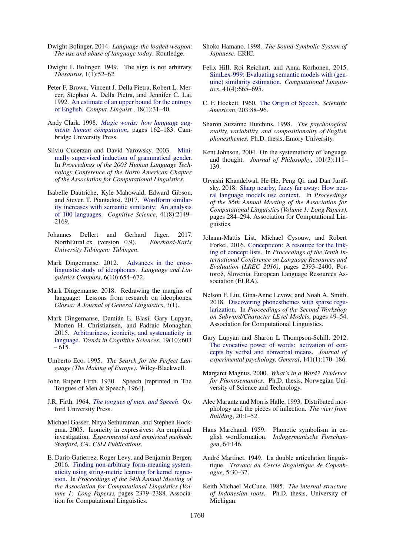- <span id="page-9-21"></span>Dwight Bolinger. 2014. *Language-the loaded weapon: The use and abuse of language today*. Routledge.
- <span id="page-9-20"></span>Dwight L Bolinger. 1949. The sign is not arbitrary. *Thesaurus*, 1(1):52–62.
- <span id="page-9-24"></span>Peter F. Brown, Vincent J. Della Pietra, Robert L. Mercer, Stephen A. Della Pietra, and Jennifer C. Lai. 1992. [An estimate of an upper bound for the entropy](http://dl.acm.org/citation.cfm?id=146680.146685) [of English.](http://dl.acm.org/citation.cfm?id=146680.146685) *Comput. Linguist.*, 18(1):31–40.
- <span id="page-9-12"></span>Andy Clark. 1998. *[Magic words: how language aug](https://doi.org/10.1017/CBO9780511597909.011)[ments human computation](https://doi.org/10.1017/CBO9780511597909.011)*, pages 162–183. Cambridge University Press.
- <span id="page-9-25"></span>Silviu Cucerzan and David Yarowsky. 2003. [Mini](http://aclweb.org/anthology/N03-1006)[mally supervised induction of grammatical gender.](http://aclweb.org/anthology/N03-1006) In *Proceedings of the 2003 Human Language Technology Conference of the North American Chapter of the Association for Computational Linguistics*.
- <span id="page-9-5"></span>Isabelle Dautriche, Kyle Mahowald, Edward Gibson, and Steven T. Piantadosi. 2017. [Wordform similar](https://doi.org/10.1111/cogs.12453)[ity increases with semantic similarity: An analysis](https://doi.org/10.1111/cogs.12453) [of 100 languages.](https://doi.org/10.1111/cogs.12453) *Cognitive Science*, 41(8):2149– 2169.
- <span id="page-9-9"></span>Johannes Dellert and Gerhard Jäger. 2017.<br>
NorthEuraLex (version 0.9). Eberhard-Karls NorthEuraLex (version 0.9).  $University$  *Tübingen: Tübingen.*
- <span id="page-9-14"></span>Mark Dingemanse. 2012. [Advances in the cross](https://doi.org/10.1002/lnc3.361)[linguistic study of ideophones.](https://doi.org/10.1002/lnc3.361) *Language and Linguistics Compass*, 6(10):654–672.
- <span id="page-9-15"></span>Mark Dingemanse. 2018. Redrawing the margins of language: Lessons from research on ideophones. *Glossa: A Journal of General Linguistics*, 3(1).
- <span id="page-9-6"></span>Mark Dingemanse, Damián E. Blasi, Gary Lupyan, Morten H. Christiansen, and Padraic Monaghan. 2015. [Arbitrariness, iconicity, and systematicity in](https://doi.org/https://doi.org/10.1016/j.tics.2015.07.013) [language.](https://doi.org/https://doi.org/10.1016/j.tics.2015.07.013) *Trends in Cognitive Sciences*, 19(10):603 – 615.
- <span id="page-9-1"></span>Umberto Eco. 1995. *The Search for the Perfect Language (The Making of Europe)*. Wiley-Blackwell.
- <span id="page-9-18"></span>John Rupert Firth. 1930. Speech [reprinted in The Tongues of Men & Speech, 1964].
- <span id="page-9-16"></span>J.R. Firth. 1964. *[The tongues of men, and Speech](https://books.google.com/books?id=_LlrAAAAIAAJ)*. Oxford University Press.
- <span id="page-9-10"></span>Michael Gasser, Nitya Sethuraman, and Stephen Hockema. 2005. Iconicity in expressives: An empirical investigation. *Experimental and empirical methods. Stanford, CA: CSLI Publications*.
- <span id="page-9-4"></span>E. Dario Gutierrez, Roger Levy, and Benjamin Bergen. 2016. [Finding non-arbitrary form-meaning system](https://doi.org/10.18653/v1/P16-1225)[aticity using string-metric learning for kernel regres](https://doi.org/10.18653/v1/P16-1225)[sion.](https://doi.org/10.18653/v1/P16-1225) In *Proceedings of the 54th Annual Meeting of the Association for Computational Linguistics (Volume 1: Long Papers)*, pages 2379–2388. Association for Computational Linguistics.
- <span id="page-9-22"></span>Shoko Hamano. 1998. *The Sound-Symbolic System of Japanese*. ERIC.
- <span id="page-9-27"></span>Felix Hill, Roi Reichart, and Anna Korhonen. 2015. [SimLex-999: Evaluating semantic models with \(gen](https://doi.org/10.1162/COLI_a_00237)[uine\) similarity estimation.](https://doi.org/10.1162/COLI_a_00237) *Computational Linguistics*, 41(4):665–695.
- <span id="page-9-0"></span>C. F. Hockett. 1960. [The Origin of Speech.](https://doi.org/10.1038/scientificamerican0960-88) *Scientific American*, 203:88–96.
- <span id="page-9-3"></span>Sharon Suzanne Hutchins. 1998. *The psychological reality, variability, and compositionality of English phonesthemes*. Ph.D. thesis, Emory University.
- <span id="page-9-2"></span>Kent Johnson. 2004. On the systematicity of language and thought. *Journal of Philosophy*, 101(3):111– 139.
- <span id="page-9-26"></span>Urvashi Khandelwal, He He, Peng Qi, and Dan Jurafsky. 2018. [Sharp nearby, fuzzy far away: How neu](http://aclweb.org/anthology/P18-1027)[ral language models use context.](http://aclweb.org/anthology/P18-1027) In *Proceedings of the 56th Annual Meeting of the Association for Computational Linguistics (Volume 1: Long Papers)*, pages 284–294. Association for Computational Linguistics.
- <span id="page-9-7"></span>Johann-Mattis List, Michael Cysouw, and Robert Forkel. 2016. [Concepticon: A resource for the link](https://www.aclweb.org/anthology/L16-1379)[ing of concept lists.](https://www.aclweb.org/anthology/L16-1379) In *Proceedings of the Tenth International Conference on Language Resources and Evaluation (LREC 2016)*, pages 2393–2400, Portorož, Slovenia. European Language Resources Association (ELRA).
- <span id="page-9-8"></span>Nelson F. Liu, Gina-Anne Levow, and Noah A. Smith. 2018. [Discovering phonesthemes with sparse regu](https://doi.org/10.18653/v1/W18-1206)[larization.](https://doi.org/10.18653/v1/W18-1206) In *Proceedings of the Second Workshop on Subword/Character LEvel Models*, pages 49–54. Association for Computational Linguistics.
- <span id="page-9-11"></span>Gary Lupyan and Sharon L Thompson-Schill. 2012. [The evocative power of words: activation of con](https://doi.org/10.1037/a0024904)[cepts by verbal and nonverbal means.](https://doi.org/10.1037/a0024904) *Journal of experimental psychology. General*, 141(1):170–186.
- <span id="page-9-17"></span>Margaret Magnus. 2000. *What's in a Word? Evidence for Phonosemantics*. Ph.D. thesis, Norwegian University of Science and Technology.
- <span id="page-9-28"></span>Alec Marantz and Morris Halle. 1993. Distributed morphology and the pieces of inflection. *The view from Building*, 20:1–52.
- <span id="page-9-19"></span>Hans Marchand. 1959. Phonetic symbolism in english wordformation. *Indogermanische Forschungen*, 64:146.
- <span id="page-9-13"></span>André Martinet. 1949. La double articulation linguistique. *Travaux du Cercle linguistique de Copenhague*, 5:30–37.
- <span id="page-9-23"></span>Keith Michael McCune. 1985. *The internal structure of Indonesian roots*. Ph.D. thesis, University of Michigan.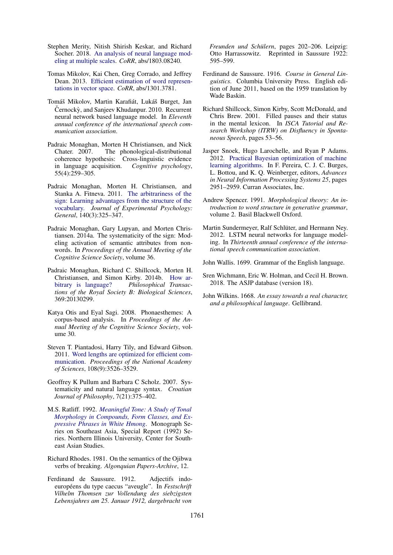- <span id="page-10-16"></span>Stephen Merity, Nitish Shirish Keskar, and Richard Socher. 2018. [An analysis of neural language mod](http://arxiv.org/abs/1803.08240)[eling at multiple scales.](http://arxiv.org/abs/1803.08240) *CoRR*, abs/1803.08240.
- <span id="page-10-5"></span>Tomas Mikolov, Kai Chen, Greg Corrado, and Jeffrey Dean. 2013. [Efficient estimation of word represen](http://dblp.uni-trier.de/db/journals/corr/corr1301.html#abs-1301-3781)[tations in vector space.](http://dblp.uni-trier.de/db/journals/corr/corr1301.html#abs-1301-3781) *CoRR*, abs/1301.3781.
- <span id="page-10-14"></span>Tomáš Mikolov, Martin Karafiát, Lukáš Burget, Jan Černockỳ, and Sanjeev Khudanpur. 2010. Recurrent neural network based language model. In *Eleventh annual conference of the international speech communication association*.
- <span id="page-10-10"></span>Padraic Monaghan, Morten H Christiansen, and Nick Chater. 2007. The phonological-distributional coherence hypothesis: Cross-linguistic evidence in language acquisition. *Cognitive psychology*, 55(4):259–305.
- <span id="page-10-4"></span>Padraic Monaghan, Morten H. Christiansen, and Stanka A. Fitneva. 2011. [The arbitrariness of the](https://doi.org/10.1037/a0022924) [sign: Learning advantages from the structure of the](https://doi.org/10.1037/a0022924) [vocabulary.](https://doi.org/10.1037/a0022924) *Journal of Experimental Psychology: General*, 140(3):325–347.
- <span id="page-10-7"></span>Padraic Monaghan, Gary Lupyan, and Morten Christiansen. 2014a. The systematicity of the sign: Modeling activation of semantic attributes from nonwords. In *Proceedings of the Annual Meeting of the Cognitive Science Society*, volume 36.
- <span id="page-10-6"></span>Padraic Monaghan, Richard C. Shillcock, Morten H. Christiansen, and Simon Kirby. 2014b. [How ar](https://doi.org/10.1098/rstb.2013.0299)[bitrary is language?](https://doi.org/10.1098/rstb.2013.0299) *Philosophical Transactions of the Royal Society B: Biological Sciences*, 369:20130299.
- <span id="page-10-17"></span>Katya Otis and Eyal Sagi. 2008. Phonaesthemes: A corpus-based analysis. In *Proceedings of the Annual Meeting of the Cognitive Science Society*, volume 30.
- <span id="page-10-9"></span>Steven T. Piantadosi, Harry Tily, and Edward Gibson. 2011. [Word lengths are optimized for efficient com](https://doi.org/10.1073/pnas.1012551108)[munication.](https://doi.org/10.1073/pnas.1012551108) *Proceedings of the National Academy of Sciences*, 108(9):3526–3529.
- <span id="page-10-3"></span>Geoffrey K Pullum and Barbara C Scholz. 2007. Systematicity and natural language syntax. *Croatian Journal of Philosophy*, 7(21):375–402.
- <span id="page-10-13"></span>M.S. Ratliff. 1992. *[Meaningful Tone: A Study of Tonal](https://books.google.com/books?id=BG9hQgAACAAJ) [Morphology in Compounds, Form Classes, and Ex](https://books.google.com/books?id=BG9hQgAACAAJ)[pressive Phrases in White Hmong](https://books.google.com/books?id=BG9hQgAACAAJ)*. Monograph Series on Southeast Asia, Special Report (1992) Series. Northern Illinois University, Center for Southeast Asian Studies.
- <span id="page-10-12"></span>Richard Rhodes. 1981. On the semantics of the Ojibwa verbs of breaking. *Algonquian Papers-Archive*, 12.
- <span id="page-10-1"></span>Ferdinand de Saussure. 1912. Adjectifs indoeuropéens du type caecus "aveugle". In *Festschrift Vilhelm Thomsen zur Vollendung des siebzigsten Lebensjahres am 25. Januar 1912, dargebracht von*

*Freunden und Schülern*, pages 202–206. Leipzig: Otto Harrassowitz. Reprinted in Saussure 1922: 595–599.

- <span id="page-10-0"></span>Ferdinand de Saussure. 1916. *Course in General Linguistics*. Columbia University Press. English edition of June 2011, based on the 1959 translation by Wade Baskin.
- <span id="page-10-8"></span>Richard Shillcock, Simon Kirby, Scott McDonald, and Chris Brew. 2001. Filled pauses and their status in the mental lexicon. In *ISCA Tutorial and Research Workshop (ITRW) on Disfluency in Spontaneous Speech*, pages 53–56.
- <span id="page-10-19"></span>Jasper Snoek, Hugo Larochelle, and Ryan P Adams. 2012. [Practical Bayesian optimization of machine](http://papers.nips.cc/paper/4522-practical-bayesian-optimization-of-machine-learning-algorithms.pdf) [learning algorithms.](http://papers.nips.cc/paper/4522-practical-bayesian-optimization-of-machine-learning-algorithms.pdf) In F. Pereira, C. J. C. Burges, L. Bottou, and K. Q. Weinberger, editors, *Advances in Neural Information Processing Systems 25*, pages 2951–2959. Curran Associates, Inc.
- <span id="page-10-20"></span>Andrew Spencer. 1991. *Morphological theory: An introduction to word structure in generative grammar*, volume 2. Basil Blackwell Oxford.
- <span id="page-10-15"></span>Martin Sundermeyer, Ralf Schlüter, and Hermann Ney. 2012. LSTM neural networks for language modeling. In *Thirteenth annual conference of the international speech communication association*.

<span id="page-10-11"></span>John Wallis. 1699. Grammar of the English language.

- <span id="page-10-18"></span>Sren Wichmann, Eric W. Holman, and Cecil H. Brown. 2018. The ASJP database (version 18).
- <span id="page-10-2"></span>John Wilkins. 1668. *An essay towards a real character, and a philosophical language*. Gellibrand.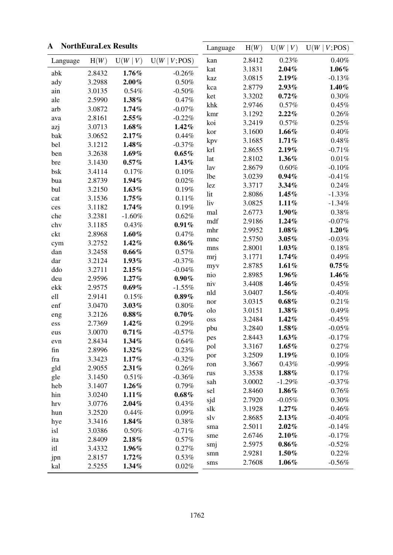<span id="page-11-0"></span>

| A        |        | <b>NorthEuraLex Results</b> |               | Language   | H(W)   | U(W   V) | U(W   V; POS) |
|----------|--------|-----------------------------|---------------|------------|--------|----------|---------------|
| Language | H(W)   | U(W   V)                    | U(W   V; POS) | kan        | 2.8412 | 0.23%    | $0.40\%$      |
| abk      | 2.8432 | 1.76%                       | $-0.26%$      | kat        | 3.1831 | 2.04%    | $1.06\%$      |
| ady      | 3.2988 | $2.00\%$                    | $0.50\%$      | kaz        | 3.0815 | 2.19%    | $-0.13%$      |
| ain      | 3.0135 | 0.54%                       | $-0.50%$      | kca        | 2.8779 | 2.93%    | 1.40%         |
| ale      | 2.5990 | 1.38%                       | 0.47%         | ket        | 3.3202 | 0.72%    | $0.30\%$      |
| arb      | 3.0872 | 1.74%                       | $-0.07%$      | khk        | 2.9746 | 0.57%    | 0.45%         |
| ava      | 2.8161 | $2.55\%$                    | $-0.22%$      | kmr        | 3.1292 | 2.22%    | 0.26%         |
| azj      | 3.0713 | $1.68\%$                    | $1.42\%$      | koi        | 3.2419 | 0.57%    | 0.25%         |
| bak      | 3.0652 | 2.17%                       | 0.44%         | kor        | 3.1600 | $1.66\%$ | $0.40\%$      |
| bel      | 3.1212 | 1.48%                       | $-0.37%$      | kpv        | 3.1685 | 1.71%    | 0.48%         |
| ben      | 3.2638 | $1.69\%$                    | $0.65\%$      | krl        | 2.8655 | 2.19%    | $-0.71%$      |
| bre      | 3.1430 | $0.57\%$                    | 1.43%         | lat        | 2.8102 | 1.36%    | $0.01\%$      |
| bsk      | 3.4114 | 0.17%                       | 0.10%         | lav        | 2.8679 | $0.60\%$ | $-0.10%$      |
| bua      | 2.8739 | 1.94%                       | 0.02%         | <b>lbe</b> | 3.0239 | $0.94\%$ | $-0.41%$      |
| bul      | 3.2150 | $1.63\%$                    | 0.19%         | lez        | 3.3717 | 3.34%    | 0.24%         |
| cat      | 3.1536 | 1.75%                       | 0.11%         | lit        | 2.8086 | $1.45\%$ | $-1.33%$      |
| ces      | 3.1182 | 1.74%                       | 0.19%         | liv        | 3.0825 | 1.11%    | $-1.34%$      |
| che      | 3.2381 | $-1.60%$                    | 0.62%         | mal        | 2.6773 | $1.90\%$ | 0.38%         |
| chv      | 3.1185 | 0.43%                       | 0.91%         | mdf        | 2.9186 | 1.24%    | $-0.07%$      |
| ckt      | 2.8968 | $1.60\%$                    | 0.47%         | mhr        | 2.9952 | $1.08\%$ | $1.20\%$      |
| cym      | 3.2752 | 1.42%                       | $0.86\%$      | mnc        | 2.5750 | $3.05\%$ | $-0.03%$      |
| dan      | 3.2458 | 0.66%                       | 0.57%         | mns        | 2.8001 | $1.03\%$ | $0.18\%$      |
| dar      | 3.2124 | 1.93%                       | $-0.37%$      | mrj        | 3.1771 | 1.74%    | 0.49%         |
| ddo      | 3.2711 | 2.15%                       | $-0.04%$      | myv        | 2.8785 | 1.61%    | 0.75%         |
| deu      | 2.9596 | 1.27%                       | $0.90\%$      | nio        | 2.8985 | 1.96%    | 1.46%         |
| ekk      | 2.9575 | $0.69\%$                    | $-1.55%$      | niv        | 3.4408 | 1.46%    | 0.45%         |
| ell      | 2.9141 | 0.15%                       | $0.89\%$      | nld        | 3.0407 | 1.56%    | $-0.40%$      |
| enf      | 3.0470 | $3.03\%$                    | $0.80\%$      | nor        | 3.0315 | 0.68%    | 0.21%         |
| eng      | 3.2126 | $0.88\,\%$                  | 0.70%         | olo        | 3.0151 | 1.38%    | 0.49%         |
| ess      | 2.7369 | $1.42\%$                    | 0.29%         | oss        | 3.2484 | $1.42\%$ | $-0.45%$      |
| eus      | 3.0070 | 0.71%                       | $-0.57%$      | pbu        | 3.2840 | 1.58%    | $-0.05%$      |
| evn      | 2.8434 | $1.34\%$                    | 0.64%         | pes        | 2.8443 | $1.63\%$ | $-0.17%$      |
| fin      | 2.8996 | 1.32%                       | 0.23%         | pol        | 3.3167 | $1.65\%$ | 0.27%         |
| fra      | 3.3423 | 1.17%                       | $-0.32%$      | por        | 3.2509 | 1.19%    | 0.10%         |
| gld      | 2.9055 | 2.31%                       | 0.26%         | ron        | 3.3667 | 0.43%    | $-0.99%$      |
| gle      | 3.1450 | 0.51%                       | $-0.36%$      | rus        | 3.3538 | 1.88%    | 0.17%         |
| heb      | 3.1407 | $1.26\%$                    | 0.79%         | sah        | 3.0002 | $-1.29%$ | $-0.37%$      |
| hin      | 3.0240 | 1.11%                       | 0.68%         | sel        | 2.8460 | 1.86%    | 0.76%         |
| hrv      | 3.0776 | $2.04\%$                    | $0.43\%$      | sjd        | 2.7920 | $-0.05%$ | 0.30%         |
| hun      | 3.2520 | 0.44%                       | 0.09%         | slk        | 3.1928 | $1.27\%$ | 0.46%         |
| hye      | 3.3416 | 1.84%                       | 0.38%         | slv        | 2.8685 | 2.13%    | $-0.40%$      |
| isl      | 3.0386 | 0.50%                       | $-0.71%$      | sma        | 2.5011 | $2.02\%$ | $-0.14%$      |
| ita      | 2.8409 | 2.18%                       | 0.57%         | sme        | 2.6746 | 2.10%    | $-0.17%$      |
| itl      | 3.4332 | 1.96%                       | 0.27%         | smj        | 2.5975 | $0.86\%$ | $-0.52%$      |
| jpn      | 2.8157 | $1.72\%$                    | 0.53%         | smn        | 2.9281 | 1.50%    | 0.22%         |
| kal      | 2.5255 | 1.34%                       | 0.02%         | $\rm{s}ms$ | 2.7608 | $1.06\%$ | $-0.56%$      |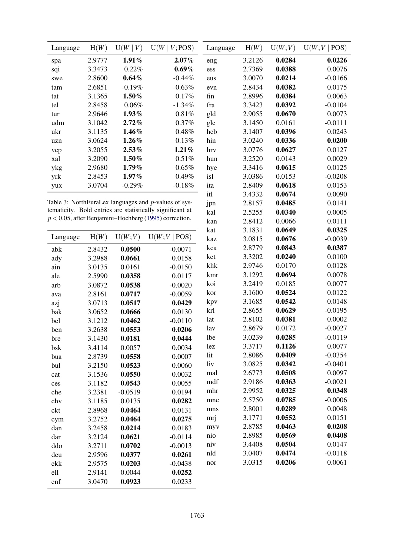| Language | H(W)   | U(W   V)  | U(W)<br>$V$ ; POS)                                   | Language | H(W)   | U(W;V) | U(W;V)<br>POS) |
|----------|--------|-----------|------------------------------------------------------|----------|--------|--------|----------------|
| spa      | 2.9777 | $1.91\%$  | $2.07\%$                                             | eng      | 3.2126 | 0.0284 | 0.0226         |
| sqi      | 3.3473 | 0.22%     | $0.69\%$                                             | ess      | 2.7369 | 0.0388 | 0.0076         |
| swe      | 2.8600 | $0.64\%$  | $-0.44\%$                                            | eus      | 3.0070 | 0.0214 | $-0.0166$      |
| tam      | 2.6851 | $-0.19\%$ | $-0.63%$                                             | evn      | 2.8434 | 0.0382 | 0.0175         |
| tat      | 3.1365 | $1.50\%$  | 0.17%                                                | fin      | 2.8996 | 0.0384 | 0.0063         |
| tel      | 2.8458 | $0.06\%$  | $-1.34%$                                             | fra      | 3.3423 | 0.0392 | $-0.0104$      |
| tur      | 2.9646 | 1.93%     | 0.81%                                                | gld      | 2.9055 | 0.0670 | 0.0073         |
| udm      | 3.1042 | $2.72\%$  | $0.37\%$                                             | gle      | 3.1450 | 0.0161 | $-0.0111$      |
| ukr      | 3.1135 | $1.46\%$  | 0.48%                                                | heb      | 3.1407 | 0.0396 | 0.0243         |
| uzn      | 3.0624 | $1.26\%$  | 0.13%                                                | hin      | 3.0240 | 0.0336 | 0.0200         |
| vep      | 3.2055 | $2.53\%$  | $1.21\%$                                             | hrv      | 3.0776 | 0.0627 | 0.0127         |
| xal      | 3.2090 | $1.50\%$  | $0.51\%$                                             | hun      | 3.2520 | 0.0143 | 0.0029         |
| ykg      | 2.9680 | $1.79\%$  | $0.65\%$                                             | hye      | 3.3416 | 0.0615 | 0.0125         |
| yrk      | 2.8453 | $1.97\%$  | $0.49\%$                                             | isl      | 3.0386 | 0.0153 | $-0.0208$      |
| yux      | 3.0704 | $-0.29%$  | $-0.18%$                                             | ita      | 2.8409 | 0.0618 | 0.0153         |
|          |        |           |                                                      | itl      | 3.4332 | 0.0674 | 0.0090         |
|          |        |           | Table 3: NorthEuraLex languages and p-values of sys- | jpn      | 2.8157 | 0.0485 | 0.0141         |

kal

kan

2.5255

2.8412

0.0340

0.0066

0.0005

0.0111

0.0325  $-0.0039$ 0.0387 0.0100 0.0128 0.0078 0.0077 0.0122 0.0148  $-0.0195$ 0.0002  $-0.0027$  $-0.0119$ 0.0077  $-0.0354$  $-0.0401$ 0.0097  $-0.0021$ 0.0348  $-0.0006$ 0.0048 0.0151  $0.0208$ 0.0408 0.0147  $-0.0118$ 0.0061

Table 3: NorthEuraLex languages and p-values of systematicity. Bold entries are statistically significant at  $p < 0.05$ , after Benjamini-Hochberg (1995) correction.

|          |        |           |              | kat | 3.1831 | 0.0649 |
|----------|--------|-----------|--------------|-----|--------|--------|
| Language | H(W)   | U(W;V)    | U(W;V   POS) | kaz | 3.0815 | 0.0676 |
| abk      | 2.8432 | 0.0500    | $-0.0071$    | kca | 2.8779 | 0.0843 |
| ady      | 3.2988 | 0.0661    | 0.0158       | ket | 3.3202 | 0.0240 |
| ain      | 3.0135 | 0.0161    | $-0.0150$    | khk | 2.9746 | 0.0170 |
| ale      | 2.5990 | 0.0358    | 0.0117       | kmr | 3.1292 | 0.0694 |
| arb      | 3.0872 | 0.0538    | $-0.0020$    | koi | 3.2419 | 0.0185 |
| ava      | 2.8161 | 0.0717    | $-0.0059$    | kor | 3.1600 | 0.0524 |
| azj      | 3.0713 | 0.0517    | 0.0429       | kpv | 3.1685 | 0.0542 |
| bak      | 3.0652 | 0.0666    | 0.0130       | krl | 2.8655 | 0.0629 |
| bel      | 3.1212 | 0.0462    | $-0.0110$    | lat | 2.8102 | 0.0381 |
| ben      | 3.2638 | 0.0553    | 0.0206       | lav | 2.8679 | 0.0172 |
| bre      | 3.1430 | 0.0181    | 0.0444       | lbe | 3.0239 | 0.0285 |
| bsk      | 3.4114 | 0.0057    | 0.0034       | lez | 3.3717 | 0.1126 |
| bua      | 2.8739 | 0.0558    | 0.0007       | lit | 2.8086 | 0.0409 |
| bul      | 3.2150 | 0.0523    | 0.0060       | liv | 3.0825 | 0.0342 |
| cat      | 3.1536 | 0.0550    | 0.0032       | mal | 2.6773 | 0.0508 |
| ces      | 3.1182 | 0.0543    | 0.0055       | mdf | 2.9186 | 0.0363 |
| che      | 3.2381 | $-0.0519$ | 0.0194       | mhr | 2.9952 | 0.0325 |
| chv      | 3.1185 | 0.0135    | 0.0282       | mnc | 2.5750 | 0.0785 |
| ckt      | 2.8968 | 0.0464    | 0.0131       | mns | 2.8001 | 0.0289 |
| cym      | 3.2752 | 0.0464    | 0.0275       | mrj | 3.1771 | 0.0552 |
| dan      | 3.2458 | 0.0214    | 0.0183       | myv | 2.8785 | 0.0463 |
| dar      | 3.2124 | 0.0621    | $-0.0114$    | nio | 2.8985 | 0.0569 |
| ddo      | 3.2711 | 0.0702    | $-0.0013$    | niv | 3.4408 | 0.0504 |
| deu      | 2.9596 | 0.0377    | 0.0261       | nld | 3.0407 | 0.0474 |
| ekk      | 2.9575 | 0.0203    | $-0.0438$    | nor | 3.0315 | 0.0206 |
| ell      | 2.9141 | 0.0044    | 0.0252       |     |        |        |
| enf      | 3.0470 | 0.0923    | 0.0233       |     |        |        |